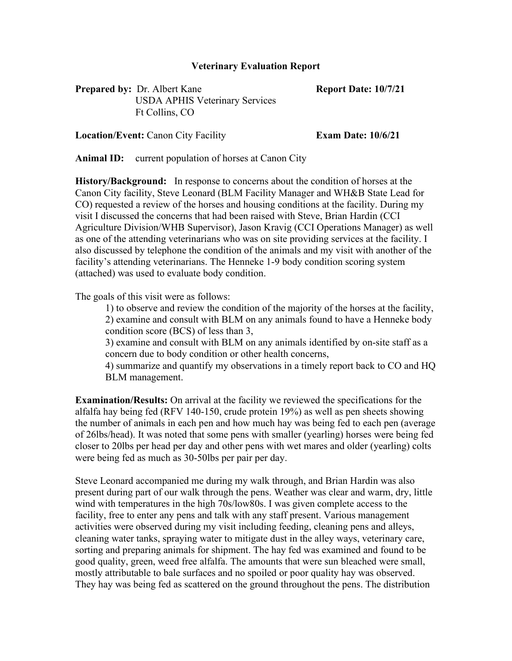## **Veterinary Evaluation Report**

**Prepared by:** Dr. Albert Kane **Report Date: 10/7/21** USDA APHIS Veterinary Services Ft Collins, CO

**Location/Event:** Canon City Facility **Exam Date: 10/6/21**

**Animal ID:** current population of horses at Canon City

**History/Background:** In response to concerns about the condition of horses at the Canon City facility, Steve Leonard (BLM Facility Manager and WH&B State Lead for CO) requested a review of the horses and housing conditions at the facility. During my visit I discussed the concerns that had been raised with Steve, Brian Hardin (CCI Agriculture Division/WHB Supervisor), Jason Kravig (CCI Operations Manager) as well as one of the attending veterinarians who was on site providing services at the facility. I also discussed by telephone the condition of the animals and my visit with another of the facility's attending veterinarians. The Henneke 1-9 body condition scoring system (attached) was used to evaluate body condition.

The goals of this visit were as follows:

1) to observe and review the condition of the majority of the horses at the facility, 2) examine and consult with BLM on any animals found to have a Henneke body condition score (BCS) of less than 3,

3) examine and consult with BLM on any animals identified by on-site staff as a concern due to body condition or other health concerns,

4) summarize and quantify my observations in a timely report back to CO and HQ BLM management.

**Examination/Results:** On arrival at the facility we reviewed the specifications for the alfalfa hay being fed (RFV 140-150, crude protein 19%) as well as pen sheets showing the number of animals in each pen and how much hay was being fed to each pen (average of 26lbs/head). It was noted that some pens with smaller (yearling) horses were being fed closer to 20lbs per head per day and other pens with wet mares and older (yearling) colts were being fed as much as 30-50lbs per pair per day.

Steve Leonard accompanied me during my walk through, and Brian Hardin was also present during part of our walk through the pens. Weather was clear and warm, dry, little wind with temperatures in the high 70s/low80s. I was given complete access to the facility, free to enter any pens and talk with any staff present. Various management activities were observed during my visit including feeding, cleaning pens and alleys, cleaning water tanks, spraying water to mitigate dust in the alley ways, veterinary care, sorting and preparing animals for shipment. The hay fed was examined and found to be good quality, green, weed free alfalfa. The amounts that were sun bleached were small, mostly attributable to bale surfaces and no spoiled or poor quality hay was observed. They hay was being fed as scattered on the ground throughout the pens. The distribution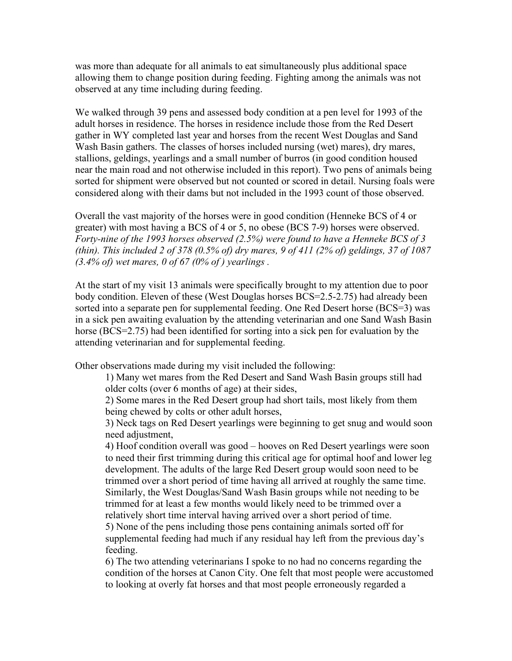was more than adequate for all animals to eat simultaneously plus additional space allowing them to change position during feeding. Fighting among the animals was not observed at any time including during feeding.

We walked through 39 pens and assessed body condition at a pen level for 1993 of the adult horses in residence. The horses in residence include those from the Red Desert gather in WY completed last year and horses from the recent West Douglas and Sand Wash Basin gathers. The classes of horses included nursing (wet) mares), dry mares, stallions, geldings, yearlings and a small number of burros (in good condition housed near the main road and not otherwise included in this report). Two pens of animals being sorted for shipment were observed but not counted or scored in detail. Nursing foals were considered along with their dams but not included in the 1993 count of those observed.

Overall the vast majority of the horses were in good condition (Henneke BCS of 4 or greater) with most having a BCS of 4 or 5, no obese (BCS 7-9) horses were observed. *Forty-nine of the 1993 horses observed (2.5%) were found to have a Henneke BCS of 3 (thin). This included 2 of 378 (0.5% of) dry mares, 9 of 411 (2% of) geldings, 37 of 1087 (3.4% of) wet mares, 0 of 67 (0% of ) yearlings .*

At the start of my visit 13 animals were specifically brought to my attention due to poor body condition. Eleven of these (West Douglas horses BCS=2.5-2.75) had already been sorted into a separate pen for supplemental feeding. One Red Desert horse (BCS=3) was in a sick pen awaiting evaluation by the attending veterinarian and one Sand Wash Basin horse (BCS=2.75) had been identified for sorting into a sick pen for evaluation by the attending veterinarian and for supplemental feeding.

Other observations made during my visit included the following:

1) Many wet mares from the Red Desert and Sand Wash Basin groups still had older colts (over 6 months of age) at their sides,

2) Some mares in the Red Desert group had short tails, most likely from them being chewed by colts or other adult horses,

3) Neck tags on Red Desert yearlings were beginning to get snug and would soon need adjustment,

4) Hoof condition overall was good – hooves on Red Desert yearlings were soon to need their first trimming during this critical age for optimal hoof and lower leg development. The adults of the large Red Desert group would soon need to be trimmed over a short period of time having all arrived at roughly the same time. Similarly, the West Douglas/Sand Wash Basin groups while not needing to be trimmed for at least a few months would likely need to be trimmed over a relatively short time interval having arrived over a short period of time.

5) None of the pens including those pens containing animals sorted off for supplemental feeding had much if any residual hay left from the previous day's feeding.

6) The two attending veterinarians I spoke to no had no concerns regarding the condition of the horses at Canon City. One felt that most people were accustomed to looking at overly fat horses and that most people erroneously regarded a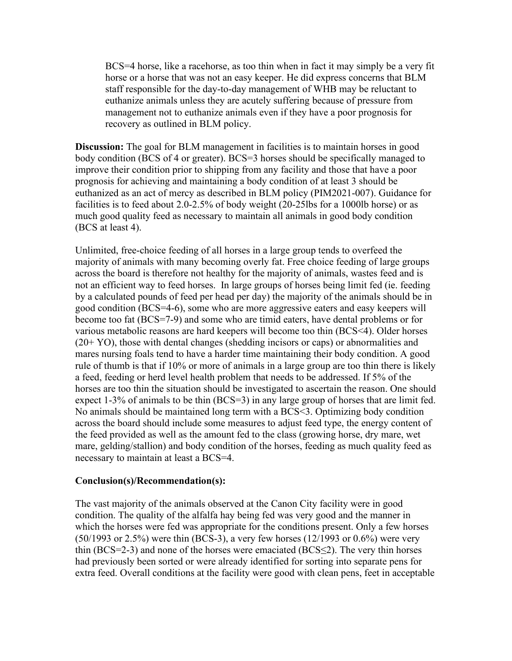BCS=4 horse, like a racehorse, as too thin when in fact it may simply be a very fit horse or a horse that was not an easy keeper. He did express concerns that BLM staff responsible for the day-to-day management of WHB may be reluctant to euthanize animals unless they are acutely suffering because of pressure from management not to euthanize animals even if they have a poor prognosis for recovery as outlined in BLM policy.

**Discussion:** The goal for BLM management in facilities is to maintain horses in good body condition (BCS of 4 or greater). BCS=3 horses should be specifically managed to improve their condition prior to shipping from any facility and those that have a poor prognosis for achieving and maintaining a body condition of at least 3 should be euthanized as an act of mercy as described in BLM policy (PIM2021-007). Guidance for facilities is to feed about 2.0-2.5% of body weight (20-25lbs for a 1000lb horse) or as much good quality feed as necessary to maintain all animals in good body condition (BCS at least 4).

Unlimited, free-choice feeding of all horses in a large group tends to overfeed the majority of animals with many becoming overly fat. Free choice feeding of large groups across the board is therefore not healthy for the majority of animals, wastes feed and is not an efficient way to feed horses. In large groups of horses being limit fed (ie. feeding by a calculated pounds of feed per head per day) the majority of the animals should be in good condition (BCS=4-6), some who are more aggressive eaters and easy keepers will become too fat (BCS=7-9) and some who are timid eaters, have dental problems or for various metabolic reasons are hard keepers will become too thin (BCS<4). Older horses (20+ YO), those with dental changes (shedding incisors or caps) or abnormalities and mares nursing foals tend to have a harder time maintaining their body condition. A good rule of thumb is that if 10% or more of animals in a large group are too thin there is likely a feed, feeding or herd level health problem that needs to be addressed. If 5% of the horses are too thin the situation should be investigated to ascertain the reason. One should expect 1-3% of animals to be thin (BCS=3) in any large group of horses that are limit fed. No animals should be maintained long term with a BCS<3. Optimizing body condition across the board should include some measures to adjust feed type, the energy content of the feed provided as well as the amount fed to the class (growing horse, dry mare, wet mare, gelding/stallion) and body condition of the horses, feeding as much quality feed as necessary to maintain at least a BCS=4.

## **Conclusion(s)/Recommendation(s):**

The vast majority of the animals observed at the Canon City facility were in good condition. The quality of the alfalfa hay being fed was very good and the manner in which the horses were fed was appropriate for the conditions present. Only a few horses  $(50/1993 \text{ or } 2.5\%)$  were thin (BCS-3), a very few horses (12/1993 or 0.6%) were very thin (BCS=2-3) and none of the horses were emaciated (BCS $\leq$ 2). The very thin horses had previously been sorted or were already identified for sorting into separate pens for extra feed. Overall conditions at the facility were good with clean pens, feet in acceptable